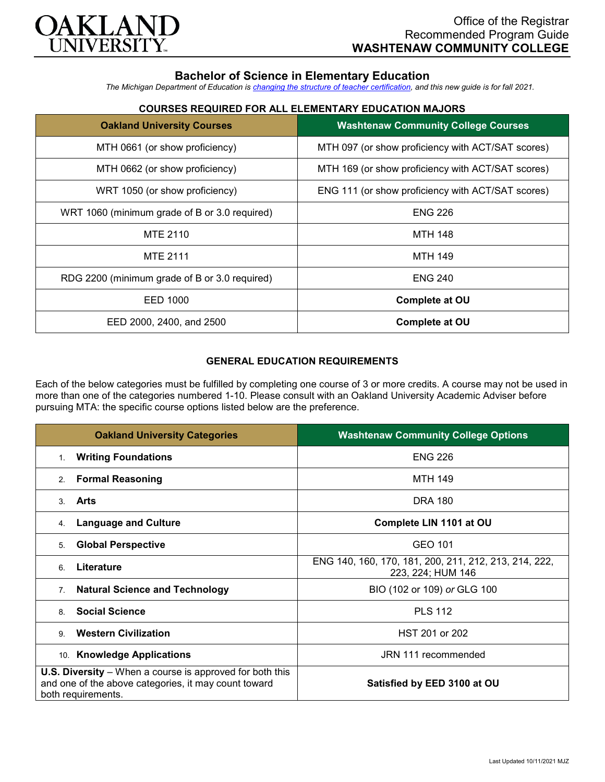

# **Bachelor of Science in Elementary Education**

*The Michigan Department of Education is [changing the structure of teacher certification,](https://docs.google.com/document/d/1W1uUK14Njx6WAB56T4jHbat65OZyg6TS04LdNWMXEcI/edit) and this new guide is for fall 2021.*

## **COURSES REQUIRED FOR ALL ELEMENTARY EDUCATION MAJORS**

| <b>Oakland University Courses</b>             | <b>Washtenaw Community College Courses</b>        |
|-----------------------------------------------|---------------------------------------------------|
| MTH 0661 (or show proficiency)                | MTH 097 (or show proficiency with ACT/SAT scores) |
| MTH 0662 (or show proficiency)                | MTH 169 (or show proficiency with ACT/SAT scores) |
| WRT 1050 (or show proficiency)                | ENG 111 (or show proficiency with ACT/SAT scores) |
| WRT 1060 (minimum grade of B or 3.0 required) | <b>ENG 226</b>                                    |
| <b>MTE 2110</b>                               | <b>MTH 148</b>                                    |
| <b>MTE 2111</b>                               | <b>MTH 149</b>                                    |
| RDG 2200 (minimum grade of B or 3.0 required) | <b>ENG 240</b>                                    |
| EED 1000                                      | <b>Complete at OU</b>                             |
| EED 2000, 2400, and 2500                      | <b>Complete at OU</b>                             |

### **GENERAL EDUCATION REQUIREMENTS**

Each of the below categories must be fulfilled by completing one course of 3 or more credits. A course may not be used in more than one of the categories numbered 1-10. Please consult with an Oakland University Academic Adviser before pursuing MTA: the specific course options listed below are the preference.

| <b>Oakland University Categories</b>                                                                                                          | <b>Washtenaw Community College Options</b>                                 |
|-----------------------------------------------------------------------------------------------------------------------------------------------|----------------------------------------------------------------------------|
| <b>Writing Foundations</b><br>$1_{-}$                                                                                                         | <b>ENG 226</b>                                                             |
| <b>Formal Reasoning</b><br>2 <sub>1</sub>                                                                                                     | <b>MTH 149</b>                                                             |
| Arts<br>$\mathcal{S}$                                                                                                                         | DRA 180                                                                    |
| <b>Language and Culture</b><br>4.                                                                                                             | Complete LIN 1101 at OU                                                    |
| <b>Global Perspective</b><br>5.                                                                                                               | GEO 101                                                                    |
| Literature<br>6                                                                                                                               | ENG 140, 160, 170, 181, 200, 211, 212, 213, 214, 222,<br>223, 224; HUM 146 |
| <b>Natural Science and Technology</b><br>7 <sub>1</sub>                                                                                       | BIO (102 or 109) or GLG 100                                                |
| <b>Social Science</b><br>8                                                                                                                    | <b>PLS 112</b>                                                             |
| <b>Western Civilization</b><br>9                                                                                                              | HST 201 or 202                                                             |
| 10. Knowledge Applications                                                                                                                    | JRN 111 recommended                                                        |
| <b>U.S. Diversity</b> – When a course is approved for both this<br>and one of the above categories, it may count toward<br>both requirements. | Satisfied by EED 3100 at OU                                                |